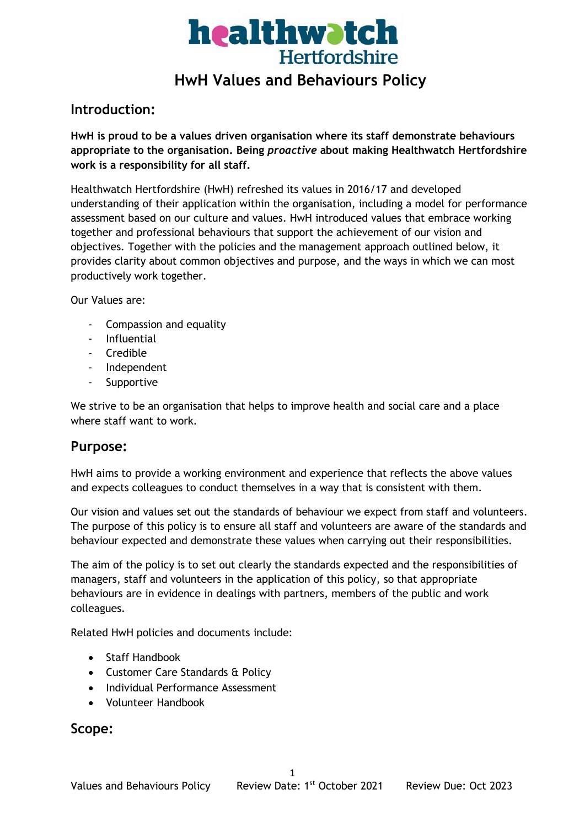

## **HwH Values and Behaviours Policy**

### **Introduction:**

**HwH is proud to be a values driven organisation where its staff demonstrate behaviours appropriate to the organisation. Being** *proactive* **about making Healthwatch Hertfordshire work is a responsibility for all staff.**

Healthwatch Hertfordshire (HwH) refreshed its values in 2016/17 and developed understanding of their application within the organisation, including a model for performance assessment based on our culture and values. HwH introduced values that embrace working together and professional behaviours that support the achievement of our vision and objectives. Together with the policies and the management approach outlined below, it provides clarity about common objectives and purpose, and the ways in which we can most productively work together.

Our Values are:

- Compassion and equality
- Influential
- Credible
- Independent
- **Supportive**

We strive to be an organisation that helps to improve health and social care and a place where staff want to work.

### **Purpose:**

HwH aims to provide a working environment and experience that reflects the above values and expects colleagues to conduct themselves in a way that is consistent with them.

Our vision and values set out the standards of behaviour we expect from staff and volunteers. The purpose of this policy is to ensure all staff and volunteers are aware of the standards and behaviour expected and demonstrate these values when carrying out their responsibilities.

The aim of the policy is to set out clearly the standards expected and the responsibilities of managers, staff and volunteers in the application of this policy, so that appropriate behaviours are in evidence in dealings with partners, members of the public and work colleagues.

Related HwH policies and documents include:

- Staff Handbook
- Customer Care Standards & Policy
- Individual Performance Assessment
- Volunteer Handbook

### **Scope:**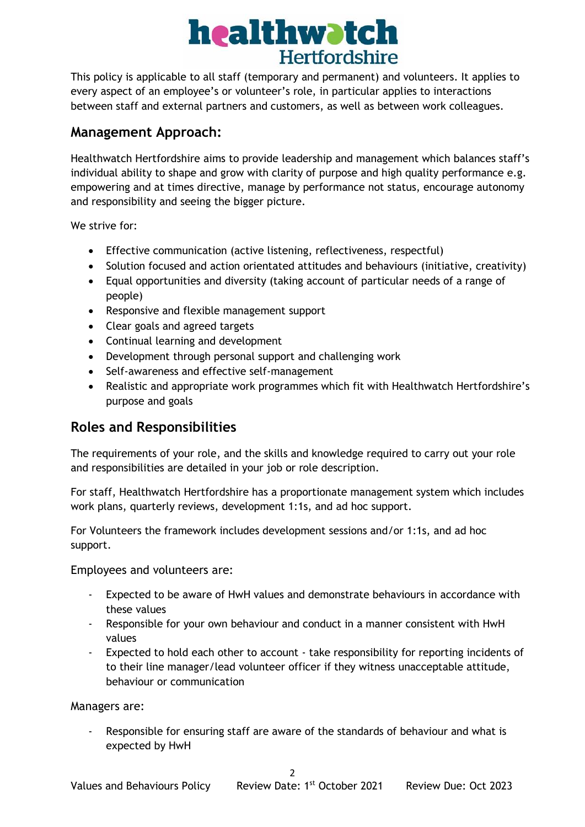# healthwatch **Hertfordshire**

This policy is applicable to all staff (temporary and permanent) and volunteers. It applies to every aspect of an employee's or volunteer's role, in particular applies to interactions between staff and external partners and customers, as well as between work colleagues.

### **Management Approach:**

Healthwatch Hertfordshire aims to provide leadership and management which balances staff's individual ability to shape and grow with clarity of purpose and high quality performance e.g. empowering and at times directive, manage by performance not status, encourage autonomy and responsibility and seeing the bigger picture.

We strive for:

- Effective communication (active listening, reflectiveness, respectful)
- Solution focused and action orientated attitudes and behaviours (initiative, creativity)
- Equal opportunities and diversity (taking account of particular needs of a range of people)
- Responsive and flexible management support
- Clear goals and agreed targets
- Continual learning and development
- Development through personal support and challenging work
- Self-awareness and effective self-management
- Realistic and appropriate work programmes which fit with Healthwatch Hertfordshire's purpose and goals

## **Roles and Responsibilities**

The requirements of your role, and the skills and knowledge required to carry out your role and responsibilities are detailed in your job or role description.

For staff, Healthwatch Hertfordshire has a proportionate management system which includes work plans, quarterly reviews, development 1:1s, and ad hoc support.

For Volunteers the framework includes development sessions and/or 1:1s, and ad hoc support.

Employees and volunteers are:

- Expected to be aware of HwH values and demonstrate behaviours in accordance with these values
- Responsible for your own behaviour and conduct in a manner consistent with HwH values
- Expected to hold each other to account take responsibility for reporting incidents of to their line manager/lead volunteer officer if they witness unacceptable attitude, behaviour or communication

Managers are:

Responsible for ensuring staff are aware of the standards of behaviour and what is expected by HwH